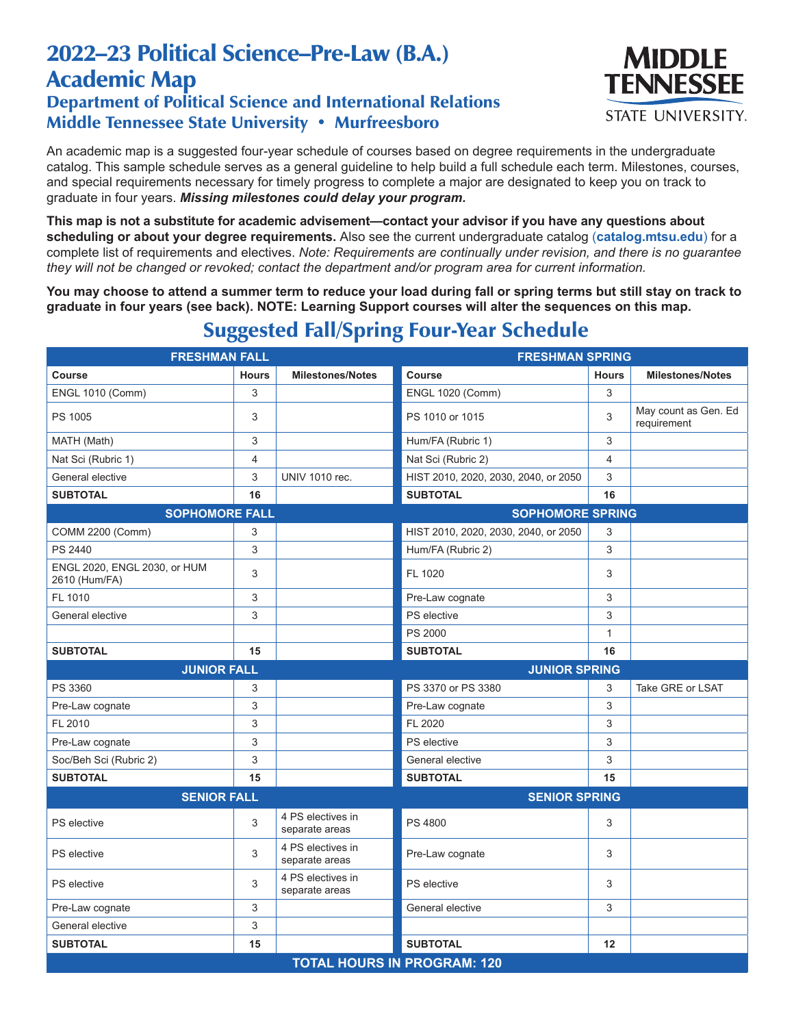## 2022–23 Political Science–Pre-Law (B.A.) Academic Map

## Department of Political Science and International Relations Middle Tennessee State University • Murfreesboro



An academic map is a suggested four-year schedule of courses based on degree requirements in the undergraduate catalog. This sample schedule serves as a general guideline to help build a full schedule each term. Milestones, courses, and special requirements necessary for timely progress to complete a major are designated to keep you on track to graduate in four years. *Missing milestones could delay your program.*

**This map is not a substitute for academic advisement—contact your advisor if you have any questions about scheduling or about your degree requirements.** Also see the current undergraduate catalog (**catalog.mtsu.edu**) for a complete list of requirements and electives. *Note: Requirements are continually under revision, and there is no guarantee they will not be changed or revoked; contact the department and/or program area for current information.*

**You may choose to attend a summer term to reduce your load during fall or spring terms but still stay on track to graduate in four years (see back). NOTE: Learning Support courses will alter the sequences on this map.**

| <b>FRESHMAN FALL</b>                          |                           |                                     | <b>FRESHMAN SPRING</b>               |                |                                     |
|-----------------------------------------------|---------------------------|-------------------------------------|--------------------------------------|----------------|-------------------------------------|
| Course                                        | <b>Hours</b>              | <b>Milestones/Notes</b>             | Course                               | <b>Hours</b>   | <b>Milestones/Notes</b>             |
| <b>ENGL 1010 (Comm)</b>                       | 3                         |                                     | <b>ENGL 1020 (Comm)</b>              | 3              |                                     |
| PS 1005                                       | 3                         |                                     | PS 1010 or 1015                      | 3              | May count as Gen. Ed<br>requirement |
| MATH (Math)                                   | 3                         |                                     | Hum/FA (Rubric 1)                    | 3              |                                     |
| Nat Sci (Rubric 1)                            | $\overline{4}$            |                                     | Nat Sci (Rubric 2)                   | $\overline{4}$ |                                     |
| General elective                              | 3                         | <b>UNIV 1010 rec.</b>               | HIST 2010, 2020, 2030, 2040, or 2050 | 3              |                                     |
| <b>SUBTOTAL</b>                               | 16                        |                                     | <b>SUBTOTAL</b>                      | 16             |                                     |
| <b>SOPHOMORE FALL</b>                         |                           |                                     | <b>SOPHOMORE SPRING</b>              |                |                                     |
| COMM 2200 (Comm)                              | 3                         |                                     | HIST 2010, 2020, 2030, 2040, or 2050 | 3              |                                     |
| PS 2440                                       | 3                         |                                     | Hum/FA (Rubric 2)                    | 3              |                                     |
| ENGL 2020, ENGL 2030, or HUM<br>2610 (Hum/FA) | 3                         |                                     | FL 1020                              | 3              |                                     |
| FL 1010                                       | 3                         |                                     | Pre-Law cognate                      | 3              |                                     |
| General elective                              | 3                         |                                     | PS elective                          | 3              |                                     |
|                                               |                           |                                     | <b>PS 2000</b>                       | $\mathbf{1}$   |                                     |
| <b>SUBTOTAL</b>                               | 15                        |                                     | <b>SUBTOTAL</b>                      | 16             |                                     |
|                                               |                           | <b>JUNIOR SPRING</b>                |                                      |                |                                     |
| <b>JUNIOR FALL</b>                            |                           |                                     |                                      |                |                                     |
| PS 3360                                       | 3                         |                                     | PS 3370 or PS 3380                   | 3              | Take GRE or LSAT                    |
| Pre-Law cognate                               | $\ensuremath{\mathsf{3}}$ |                                     | Pre-Law cognate                      | 3              |                                     |
| FL 2010                                       | 3                         |                                     | FL 2020                              | 3              |                                     |
| Pre-Law cognate                               | 3                         |                                     | PS elective                          | 3              |                                     |
| Soc/Beh Sci (Rubric 2)                        | 3                         |                                     | General elective                     | 3              |                                     |
| <b>SUBTOTAL</b>                               | 15                        |                                     | <b>SUBTOTAL</b>                      | 15             |                                     |
| <b>SENIOR FALL</b>                            |                           |                                     | <b>SENIOR SPRING</b>                 |                |                                     |
| PS elective                                   | 3                         | 4 PS electives in<br>separate areas | <b>PS 4800</b>                       | 3              |                                     |
| PS elective                                   | 3                         | 4 PS electives in<br>separate areas | Pre-Law cognate                      | 3              |                                     |
| PS elective                                   | 3                         | 4 PS electives in<br>separate areas | PS elective                          | 3              |                                     |
| Pre-Law cognate                               | 3                         |                                     | General elective                     | 3              |                                     |
| General elective                              | $\ensuremath{\mathsf{3}}$ |                                     |                                      |                |                                     |
| <b>SUBTOTAL</b>                               | 15                        |                                     | <b>SUBTOTAL</b>                      | 12             |                                     |

## Suggested Fall/Spring Four-Year Schedule